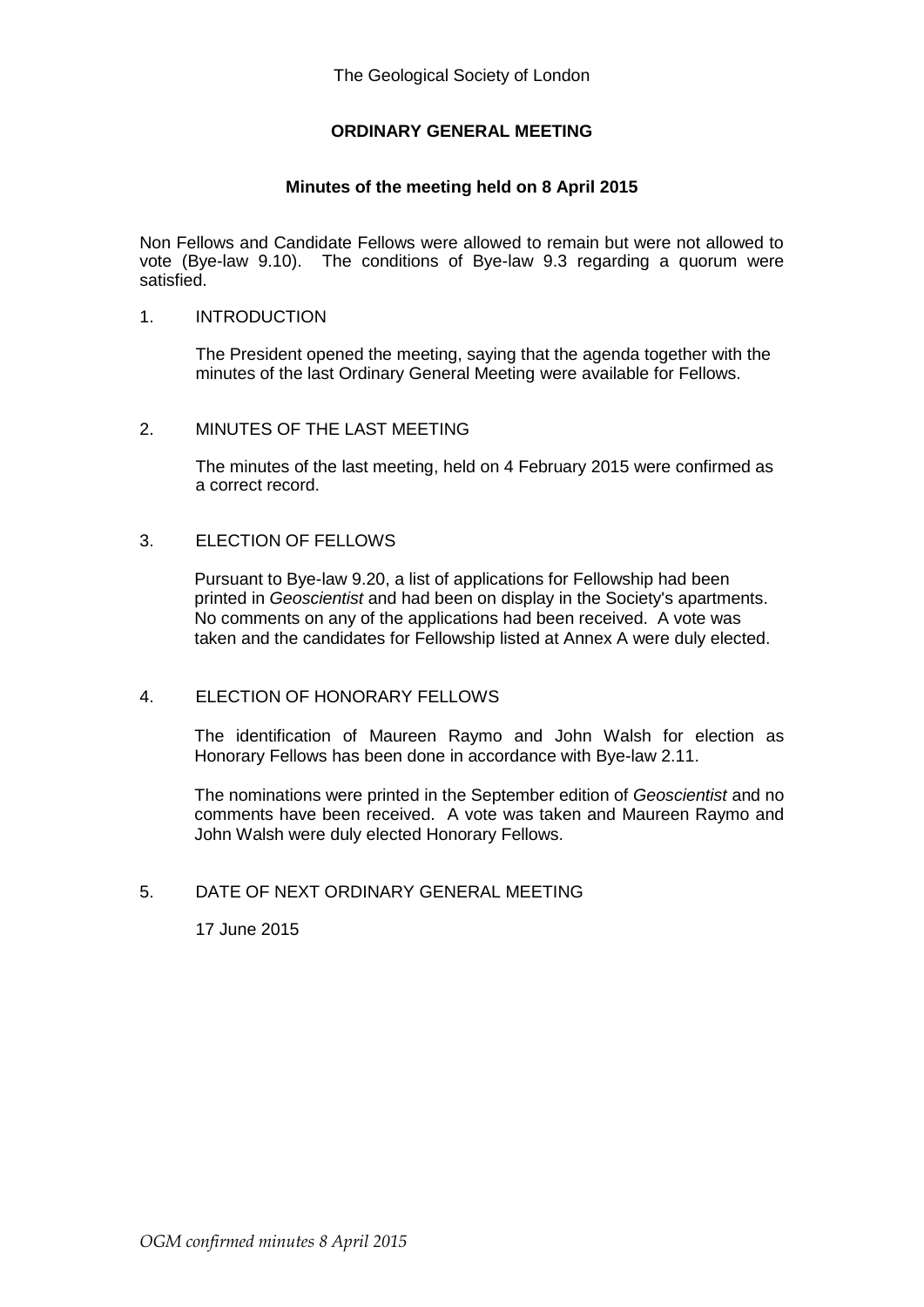## **ORDINARY GENERAL MEETING**

## **Minutes of the meeting held on 8 April 2015**

Non Fellows and Candidate Fellows were allowed to remain but were not allowed to vote (Bye-law 9.10). The conditions of Bye-law 9.3 regarding a quorum were satisfied.

## 1. INTRODUCTION

The President opened the meeting, saying that the agenda together with the minutes of the last Ordinary General Meeting were available for Fellows.

#### 2. MINUTES OF THE LAST MEETING

The minutes of the last meeting, held on 4 February 2015 were confirmed as a correct record.

#### 3. ELECTION OF FELLOWS

Pursuant to Bye-law 9.20, a list of applications for Fellowship had been printed in *Geoscientist* and had been on display in the Society's apartments. No comments on any of the applications had been received. A vote was taken and the candidates for Fellowship listed at Annex A were duly elected.

## 4. ELECTION OF HONORARY FELLOWS

The identification of Maureen Raymo and John Walsh for election as Honorary Fellows has been done in accordance with Bye-law 2.11.

The nominations were printed in the September edition of *Geoscientist* and no comments have been received. A vote was taken and Maureen Raymo and John Walsh were duly elected Honorary Fellows.

# 5. DATE OF NEXT ORDINARY GENERAL MEETING

17 June 2015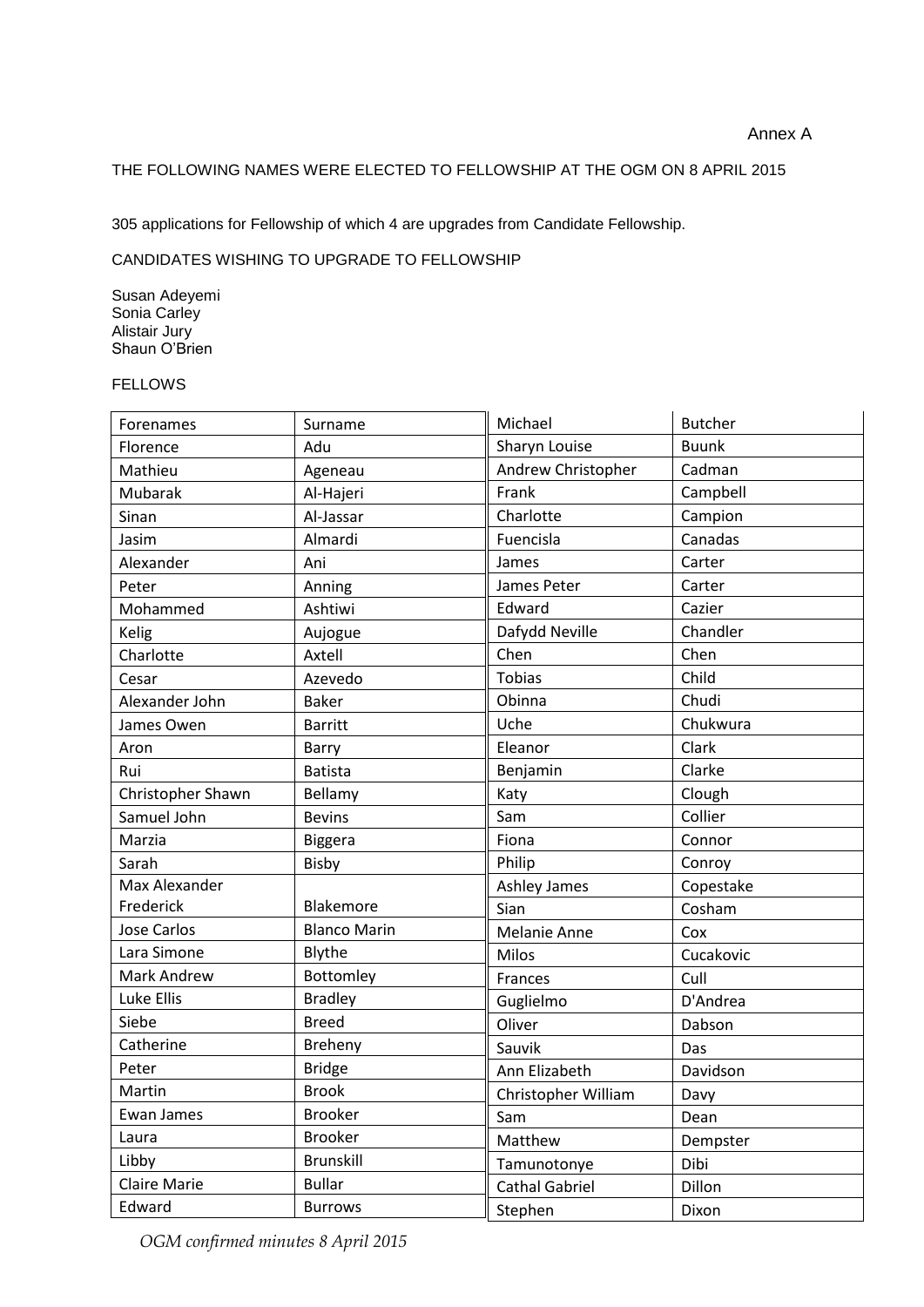## THE FOLLOWING NAMES WERE ELECTED TO FELLOWSHIP AT THE OGM ON 8 APRIL 2015

305 applications for Fellowship of which 4 are upgrades from Candidate Fellowship.

#### CANDIDATES WISHING TO UPGRADE TO FELLOWSHIP

Susan Adeyemi Sonia Carley Alistair Jury Shaun O'Brien

#### FELLOWS

| Forenames         | Surname             | Michael             | <b>Butcher</b> |
|-------------------|---------------------|---------------------|----------------|
| Florence          | Adu                 | Sharyn Louise       | <b>Buunk</b>   |
| Mathieu           | Ageneau             | Andrew Christopher  | Cadman         |
| Mubarak           | Al-Hajeri           | Frank               | Campbell       |
| Sinan             | Al-Jassar           | Charlotte           | Campion        |
| Jasim             | Almardi             | Fuencisla           | Canadas        |
| Alexander         | Ani                 | James               | Carter         |
| Peter             | Anning              | James Peter         | Carter         |
| Mohammed          | Ashtiwi             | Edward              | Cazier         |
| Kelig             | Aujogue             | Dafydd Neville      | Chandler       |
| Charlotte         | Axtell              | Chen                | Chen           |
| Cesar             | Azevedo             | <b>Tobias</b>       | Child          |
| Alexander John    | <b>Baker</b>        | Obinna              | Chudi          |
| James Owen        | <b>Barritt</b>      | Uche                | Chukwura       |
| Aron              | Barry               | Eleanor             | Clark          |
| Rui               | <b>Batista</b>      | Benjamin            | Clarke         |
| Christopher Shawn | Bellamy             | Katy                | Clough         |
| Samuel John       | <b>Bevins</b>       | Sam                 | Collier        |
| Marzia            | <b>Biggera</b>      | Fiona               | Connor         |
| Sarah             | Bisby               | Philip              | Conroy         |
| Max Alexander     |                     | Ashley James        | Copestake      |
| Frederick         | Blakemore           | Sian                | Cosham         |
| Jose Carlos       | <b>Blanco Marin</b> | Melanie Anne        | Cox            |
| Lara Simone       | Blythe              | Milos               | Cucakovic      |
| Mark Andrew       | Bottomley           | Frances             | Cull           |
| Luke Ellis        | <b>Bradley</b>      | Guglielmo           | D'Andrea       |
| Siebe             | <b>Breed</b>        | Oliver              | Dabson         |
| Catherine         | Breheny             | Sauvik              | Das            |
| Peter             | <b>Bridge</b>       | Ann Elizabeth       | Davidson       |
| Martin            | <b>Brook</b>        | Christopher William | Davy           |
| Ewan James        | Brooker             | Sam                 | Dean           |
| Laura             | <b>Brooker</b>      | Matthew             | Dempster       |
| Libby             | <b>Brunskill</b>    | Tamunotonye         | Dibi           |
| Claire Marie      | <b>Bullar</b>       | Cathal Gabriel      | Dillon         |
| Edward            | <b>Burrows</b>      | Stephen             | Dixon          |

*OGM confirmed minutes 8 April 2015*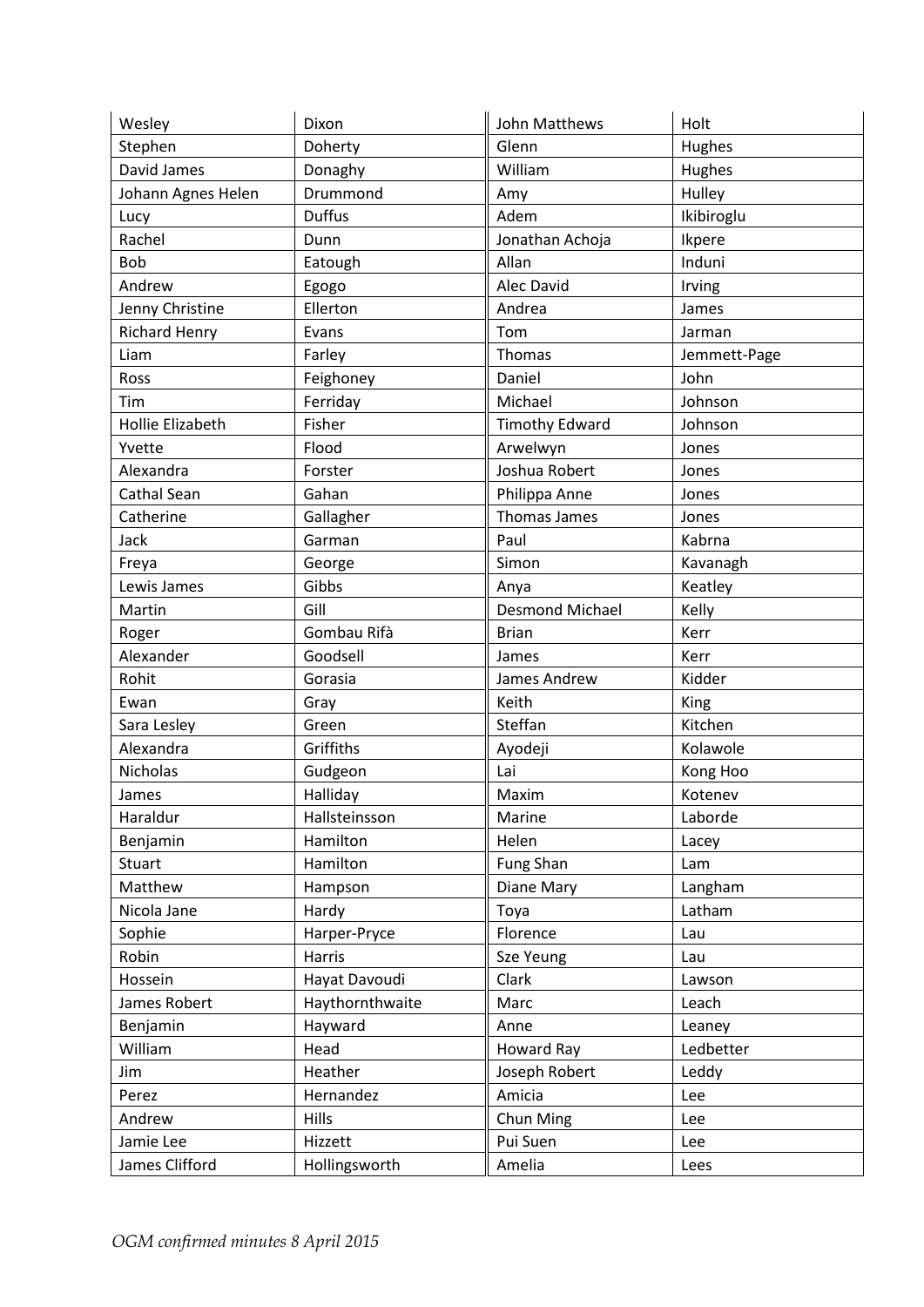| Wesley               | Dixon           | John Matthews          | Holt         |
|----------------------|-----------------|------------------------|--------------|
| Stephen              | Doherty         | Glenn                  | Hughes       |
| David James          | Donaghy         | William                | Hughes       |
| Johann Agnes Helen   | Drummond        | Amy                    | Hulley       |
| Lucy                 | <b>Duffus</b>   | Adem                   | Ikibiroglu   |
| Rachel               | Dunn            | Jonathan Achoja        | Ikpere       |
| <b>Bob</b>           | Eatough         | Allan                  | Induni       |
| Andrew               | Egogo           | Alec David             | Irving       |
| Jenny Christine      | Ellerton        | Andrea                 | James        |
| <b>Richard Henry</b> | Evans           | Tom                    | Jarman       |
| Liam                 | Farley          | Thomas                 | Jemmett-Page |
| Ross                 | Feighoney       | Daniel                 | John         |
| Tim                  | Ferriday        | Michael                | Johnson      |
| Hollie Elizabeth     | Fisher          | <b>Timothy Edward</b>  | Johnson      |
| Yvette               | Flood           | Arwelwyn               | Jones        |
| Alexandra            | Forster         | Joshua Robert          | Jones        |
| Cathal Sean          | Gahan           | Philippa Anne          | Jones        |
| Catherine            | Gallagher       | Thomas James           | Jones        |
| Jack                 | Garman          | Paul                   | Kabrna       |
| Freya                | George          | Simon                  | Kavanagh     |
| Lewis James          | Gibbs           | Anya                   | Keatley      |
| Martin               | Gill            | <b>Desmond Michael</b> | Kelly        |
| Roger                | Gombau Rifà     | <b>Brian</b>           | Kerr         |
| Alexander            | Goodsell        | James                  | Kerr         |
| Rohit                | Gorasia         | James Andrew           | Kidder       |
| Ewan                 | Gray            | Keith                  | King         |
| Sara Lesley          | Green           | Steffan                | Kitchen      |
| Alexandra            | Griffiths       | Ayodeji                | Kolawole     |
| <b>Nicholas</b>      | Gudgeon         | Lai                    | Kong Hoo     |
| James                | Halliday        | Maxim                  | Kotenev      |
| Haraldur             | Hallsteinsson   | Marine                 | Laborde      |
| Benjamin             | Hamilton        | Helen                  | Lacey        |
| <b>Stuart</b>        | Hamilton        | Fung Shan              | Lam          |
| Matthew              | Hampson         | Diane Mary             | Langham      |
| Nicola Jane          | Hardy           | Toya                   | Latham       |
| Sophie               | Harper-Pryce    | Florence               | Lau          |
| Robin                | Harris          | Sze Yeung              | Lau          |
| Hossein              | Hayat Davoudi   | Clark                  | Lawson       |
| James Robert         | Haythornthwaite | Marc                   | Leach        |
| Benjamin             | Hayward         | Anne                   | Leaney       |
| William              | Head            | Howard Ray             | Ledbetter    |
| Jim                  | Heather         | Joseph Robert          | Leddy        |
| Perez                | Hernandez       | Amicia                 | Lee          |
| Andrew               | Hills           | Chun Ming              | Lee          |
| Jamie Lee            | Hizzett         | Pui Suen               | Lee          |
| James Clifford       | Hollingsworth   | Amelia                 | Lees         |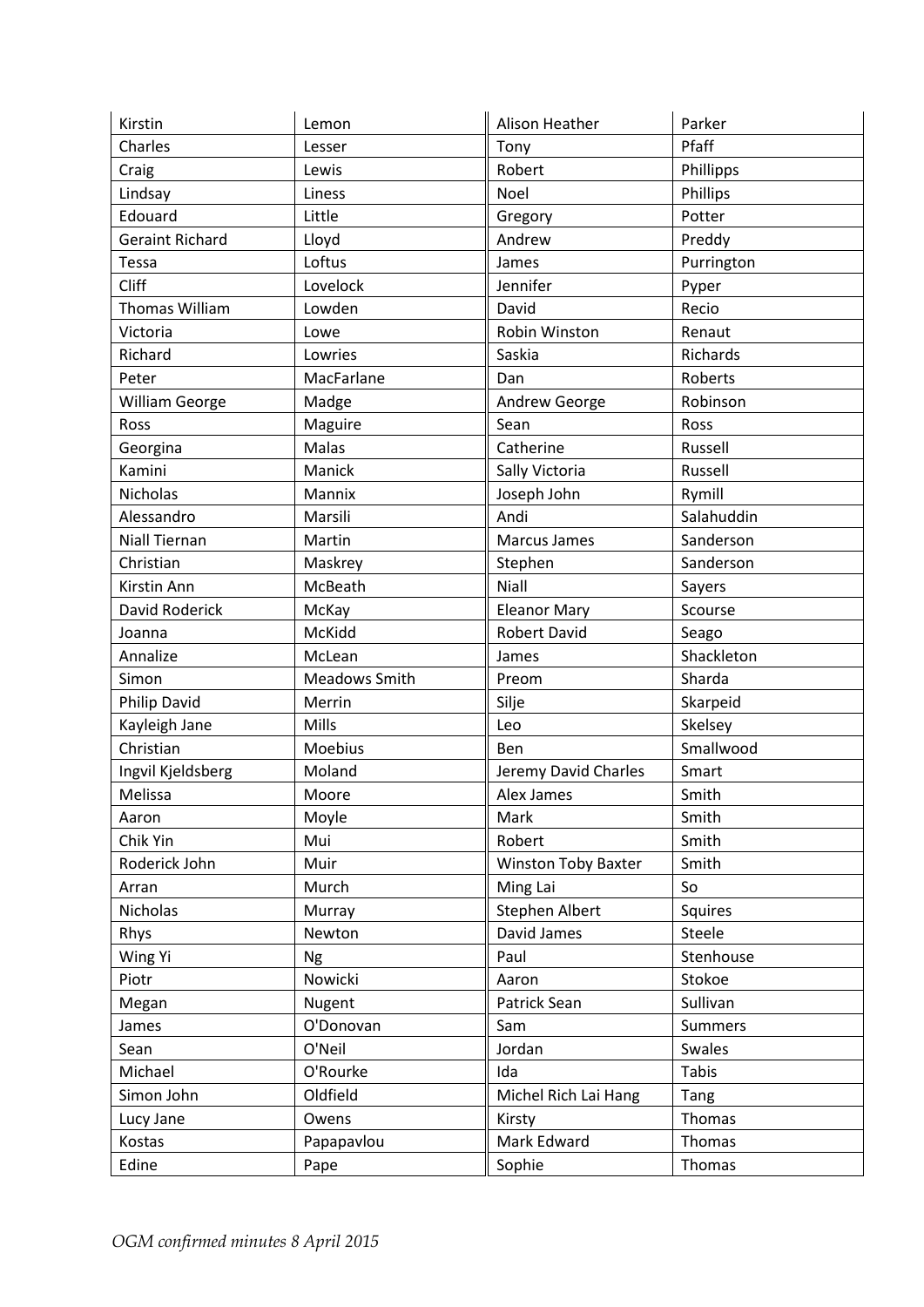| Pfaff<br>Charles<br>Tony<br>Lesser<br>Robert<br>Craig<br>Phillipps<br>Lewis<br>Lindsay<br>Phillips<br>Liness<br>Noel<br>Edouard<br>Potter<br>Little<br>Gregory<br><b>Geraint Richard</b><br>Lloyd<br>Andrew<br>Preddy<br>Loftus<br>Tessa<br>James<br>Purrington<br>Cliff<br>Lovelock<br>Jennifer<br>Pyper<br>Thomas William<br>Recio<br>Lowden<br>David<br>Robin Winston<br>Victoria<br>Lowe<br>Renaut<br>Richard<br>Saskia<br>Richards<br>Lowries<br>Roberts<br>Peter<br>MacFarlane<br>Dan<br><b>William George</b><br>Andrew George<br>Robinson<br>Madge<br>Maguire<br>Sean<br>Ross<br>Ross<br>Malas<br>Catherine<br>Russell<br>Georgina<br>Kamini<br>Manick<br>Sally Victoria<br>Russell<br>Nicholas<br>Mannix<br>Joseph John<br>Rymill<br>Andi<br>Salahuddin<br>Alessandro<br>Marsili<br><b>Niall Tiernan</b><br><b>Marcus James</b><br>Sanderson<br>Martin<br>Sanderson<br>Christian<br>Stephen<br>Maskrey<br>Niall<br>McBeath<br>Kirstin Ann<br>Sayers<br>David Roderick<br><b>Eleanor Mary</b><br>Scourse<br>McKay<br>McKidd<br><b>Robert David</b><br>Seago<br>Joanna<br>Shackleton<br>Annalize<br>McLean<br>James<br>Sharda<br><b>Meadows Smith</b><br>Simon<br>Preom<br><b>Philip David</b><br>Skarpeid<br>Merrin<br>Silje<br>Skelsey<br>Mills<br>Kayleigh Jane<br>Leo<br>Christian<br>Smallwood<br>Moebius<br>Ben<br>Moland<br>Jeremy David Charles<br>Ingvil Kjeldsberg<br>Smart<br>Melissa<br>Alex James<br>Smith<br>Moore<br>Moyle<br>Mark<br>Smith<br>Aaron<br>Mui<br>Chik Yin<br>Robert<br>Smith<br>Smith<br>Roderick John<br>Muir<br><b>Winston Toby Baxter</b><br>Ming Lai<br>So<br>Arran<br>Murch<br>Nicholas<br>Stephen Albert<br>Squires<br>Murray<br>Rhys<br>David James<br>Newton<br>Steele<br>Stenhouse<br>Wing Yi<br>Paul<br><b>Ng</b><br>Nowicki<br>Stokoe<br>Piotr<br>Aaron<br>Patrick Sean<br>Sullivan<br>Nugent<br>Megan<br>O'Donovan<br>Sam<br>James<br><b>Summers</b><br>O'Neil<br>Jordan<br>Swales<br>Sean<br><b>Tabis</b><br>Michael<br>O'Rourke<br>Ida<br>Oldfield<br>Simon John<br>Michel Rich Lai Hang<br>Tang<br>Thomas<br>Lucy Jane<br>Owens<br>Kirsty<br>Mark Edward<br>Thomas<br>Kostas<br>Papapavlou<br>Sophie<br>Thomas<br>Edine<br>Pape | Kirstin | Lemon | <b>Alison Heather</b> | Parker |
|------------------------------------------------------------------------------------------------------------------------------------------------------------------------------------------------------------------------------------------------------------------------------------------------------------------------------------------------------------------------------------------------------------------------------------------------------------------------------------------------------------------------------------------------------------------------------------------------------------------------------------------------------------------------------------------------------------------------------------------------------------------------------------------------------------------------------------------------------------------------------------------------------------------------------------------------------------------------------------------------------------------------------------------------------------------------------------------------------------------------------------------------------------------------------------------------------------------------------------------------------------------------------------------------------------------------------------------------------------------------------------------------------------------------------------------------------------------------------------------------------------------------------------------------------------------------------------------------------------------------------------------------------------------------------------------------------------------------------------------------------------------------------------------------------------------------------------------------------------------------------------------------------------------------------------------------------------------------------------------------------------------------------------------------------------------------------------------------------------------------------------------------------------------------------------|---------|-------|-----------------------|--------|
|                                                                                                                                                                                                                                                                                                                                                                                                                                                                                                                                                                                                                                                                                                                                                                                                                                                                                                                                                                                                                                                                                                                                                                                                                                                                                                                                                                                                                                                                                                                                                                                                                                                                                                                                                                                                                                                                                                                                                                                                                                                                                                                                                                                    |         |       |                       |        |
|                                                                                                                                                                                                                                                                                                                                                                                                                                                                                                                                                                                                                                                                                                                                                                                                                                                                                                                                                                                                                                                                                                                                                                                                                                                                                                                                                                                                                                                                                                                                                                                                                                                                                                                                                                                                                                                                                                                                                                                                                                                                                                                                                                                    |         |       |                       |        |
|                                                                                                                                                                                                                                                                                                                                                                                                                                                                                                                                                                                                                                                                                                                                                                                                                                                                                                                                                                                                                                                                                                                                                                                                                                                                                                                                                                                                                                                                                                                                                                                                                                                                                                                                                                                                                                                                                                                                                                                                                                                                                                                                                                                    |         |       |                       |        |
|                                                                                                                                                                                                                                                                                                                                                                                                                                                                                                                                                                                                                                                                                                                                                                                                                                                                                                                                                                                                                                                                                                                                                                                                                                                                                                                                                                                                                                                                                                                                                                                                                                                                                                                                                                                                                                                                                                                                                                                                                                                                                                                                                                                    |         |       |                       |        |
|                                                                                                                                                                                                                                                                                                                                                                                                                                                                                                                                                                                                                                                                                                                                                                                                                                                                                                                                                                                                                                                                                                                                                                                                                                                                                                                                                                                                                                                                                                                                                                                                                                                                                                                                                                                                                                                                                                                                                                                                                                                                                                                                                                                    |         |       |                       |        |
|                                                                                                                                                                                                                                                                                                                                                                                                                                                                                                                                                                                                                                                                                                                                                                                                                                                                                                                                                                                                                                                                                                                                                                                                                                                                                                                                                                                                                                                                                                                                                                                                                                                                                                                                                                                                                                                                                                                                                                                                                                                                                                                                                                                    |         |       |                       |        |
|                                                                                                                                                                                                                                                                                                                                                                                                                                                                                                                                                                                                                                                                                                                                                                                                                                                                                                                                                                                                                                                                                                                                                                                                                                                                                                                                                                                                                                                                                                                                                                                                                                                                                                                                                                                                                                                                                                                                                                                                                                                                                                                                                                                    |         |       |                       |        |
|                                                                                                                                                                                                                                                                                                                                                                                                                                                                                                                                                                                                                                                                                                                                                                                                                                                                                                                                                                                                                                                                                                                                                                                                                                                                                                                                                                                                                                                                                                                                                                                                                                                                                                                                                                                                                                                                                                                                                                                                                                                                                                                                                                                    |         |       |                       |        |
|                                                                                                                                                                                                                                                                                                                                                                                                                                                                                                                                                                                                                                                                                                                                                                                                                                                                                                                                                                                                                                                                                                                                                                                                                                                                                                                                                                                                                                                                                                                                                                                                                                                                                                                                                                                                                                                                                                                                                                                                                                                                                                                                                                                    |         |       |                       |        |
|                                                                                                                                                                                                                                                                                                                                                                                                                                                                                                                                                                                                                                                                                                                                                                                                                                                                                                                                                                                                                                                                                                                                                                                                                                                                                                                                                                                                                                                                                                                                                                                                                                                                                                                                                                                                                                                                                                                                                                                                                                                                                                                                                                                    |         |       |                       |        |
|                                                                                                                                                                                                                                                                                                                                                                                                                                                                                                                                                                                                                                                                                                                                                                                                                                                                                                                                                                                                                                                                                                                                                                                                                                                                                                                                                                                                                                                                                                                                                                                                                                                                                                                                                                                                                                                                                                                                                                                                                                                                                                                                                                                    |         |       |                       |        |
|                                                                                                                                                                                                                                                                                                                                                                                                                                                                                                                                                                                                                                                                                                                                                                                                                                                                                                                                                                                                                                                                                                                                                                                                                                                                                                                                                                                                                                                                                                                                                                                                                                                                                                                                                                                                                                                                                                                                                                                                                                                                                                                                                                                    |         |       |                       |        |
|                                                                                                                                                                                                                                                                                                                                                                                                                                                                                                                                                                                                                                                                                                                                                                                                                                                                                                                                                                                                                                                                                                                                                                                                                                                                                                                                                                                                                                                                                                                                                                                                                                                                                                                                                                                                                                                                                                                                                                                                                                                                                                                                                                                    |         |       |                       |        |
|                                                                                                                                                                                                                                                                                                                                                                                                                                                                                                                                                                                                                                                                                                                                                                                                                                                                                                                                                                                                                                                                                                                                                                                                                                                                                                                                                                                                                                                                                                                                                                                                                                                                                                                                                                                                                                                                                                                                                                                                                                                                                                                                                                                    |         |       |                       |        |
|                                                                                                                                                                                                                                                                                                                                                                                                                                                                                                                                                                                                                                                                                                                                                                                                                                                                                                                                                                                                                                                                                                                                                                                                                                                                                                                                                                                                                                                                                                                                                                                                                                                                                                                                                                                                                                                                                                                                                                                                                                                                                                                                                                                    |         |       |                       |        |
|                                                                                                                                                                                                                                                                                                                                                                                                                                                                                                                                                                                                                                                                                                                                                                                                                                                                                                                                                                                                                                                                                                                                                                                                                                                                                                                                                                                                                                                                                                                                                                                                                                                                                                                                                                                                                                                                                                                                                                                                                                                                                                                                                                                    |         |       |                       |        |
|                                                                                                                                                                                                                                                                                                                                                                                                                                                                                                                                                                                                                                                                                                                                                                                                                                                                                                                                                                                                                                                                                                                                                                                                                                                                                                                                                                                                                                                                                                                                                                                                                                                                                                                                                                                                                                                                                                                                                                                                                                                                                                                                                                                    |         |       |                       |        |
|                                                                                                                                                                                                                                                                                                                                                                                                                                                                                                                                                                                                                                                                                                                                                                                                                                                                                                                                                                                                                                                                                                                                                                                                                                                                                                                                                                                                                                                                                                                                                                                                                                                                                                                                                                                                                                                                                                                                                                                                                                                                                                                                                                                    |         |       |                       |        |
|                                                                                                                                                                                                                                                                                                                                                                                                                                                                                                                                                                                                                                                                                                                                                                                                                                                                                                                                                                                                                                                                                                                                                                                                                                                                                                                                                                                                                                                                                                                                                                                                                                                                                                                                                                                                                                                                                                                                                                                                                                                                                                                                                                                    |         |       |                       |        |
|                                                                                                                                                                                                                                                                                                                                                                                                                                                                                                                                                                                                                                                                                                                                                                                                                                                                                                                                                                                                                                                                                                                                                                                                                                                                                                                                                                                                                                                                                                                                                                                                                                                                                                                                                                                                                                                                                                                                                                                                                                                                                                                                                                                    |         |       |                       |        |
|                                                                                                                                                                                                                                                                                                                                                                                                                                                                                                                                                                                                                                                                                                                                                                                                                                                                                                                                                                                                                                                                                                                                                                                                                                                                                                                                                                                                                                                                                                                                                                                                                                                                                                                                                                                                                                                                                                                                                                                                                                                                                                                                                                                    |         |       |                       |        |
|                                                                                                                                                                                                                                                                                                                                                                                                                                                                                                                                                                                                                                                                                                                                                                                                                                                                                                                                                                                                                                                                                                                                                                                                                                                                                                                                                                                                                                                                                                                                                                                                                                                                                                                                                                                                                                                                                                                                                                                                                                                                                                                                                                                    |         |       |                       |        |
|                                                                                                                                                                                                                                                                                                                                                                                                                                                                                                                                                                                                                                                                                                                                                                                                                                                                                                                                                                                                                                                                                                                                                                                                                                                                                                                                                                                                                                                                                                                                                                                                                                                                                                                                                                                                                                                                                                                                                                                                                                                                                                                                                                                    |         |       |                       |        |
|                                                                                                                                                                                                                                                                                                                                                                                                                                                                                                                                                                                                                                                                                                                                                                                                                                                                                                                                                                                                                                                                                                                                                                                                                                                                                                                                                                                                                                                                                                                                                                                                                                                                                                                                                                                                                                                                                                                                                                                                                                                                                                                                                                                    |         |       |                       |        |
|                                                                                                                                                                                                                                                                                                                                                                                                                                                                                                                                                                                                                                                                                                                                                                                                                                                                                                                                                                                                                                                                                                                                                                                                                                                                                                                                                                                                                                                                                                                                                                                                                                                                                                                                                                                                                                                                                                                                                                                                                                                                                                                                                                                    |         |       |                       |        |
|                                                                                                                                                                                                                                                                                                                                                                                                                                                                                                                                                                                                                                                                                                                                                                                                                                                                                                                                                                                                                                                                                                                                                                                                                                                                                                                                                                                                                                                                                                                                                                                                                                                                                                                                                                                                                                                                                                                                                                                                                                                                                                                                                                                    |         |       |                       |        |
|                                                                                                                                                                                                                                                                                                                                                                                                                                                                                                                                                                                                                                                                                                                                                                                                                                                                                                                                                                                                                                                                                                                                                                                                                                                                                                                                                                                                                                                                                                                                                                                                                                                                                                                                                                                                                                                                                                                                                                                                                                                                                                                                                                                    |         |       |                       |        |
|                                                                                                                                                                                                                                                                                                                                                                                                                                                                                                                                                                                                                                                                                                                                                                                                                                                                                                                                                                                                                                                                                                                                                                                                                                                                                                                                                                                                                                                                                                                                                                                                                                                                                                                                                                                                                                                                                                                                                                                                                                                                                                                                                                                    |         |       |                       |        |
|                                                                                                                                                                                                                                                                                                                                                                                                                                                                                                                                                                                                                                                                                                                                                                                                                                                                                                                                                                                                                                                                                                                                                                                                                                                                                                                                                                                                                                                                                                                                                                                                                                                                                                                                                                                                                                                                                                                                                                                                                                                                                                                                                                                    |         |       |                       |        |
|                                                                                                                                                                                                                                                                                                                                                                                                                                                                                                                                                                                                                                                                                                                                                                                                                                                                                                                                                                                                                                                                                                                                                                                                                                                                                                                                                                                                                                                                                                                                                                                                                                                                                                                                                                                                                                                                                                                                                                                                                                                                                                                                                                                    |         |       |                       |        |
|                                                                                                                                                                                                                                                                                                                                                                                                                                                                                                                                                                                                                                                                                                                                                                                                                                                                                                                                                                                                                                                                                                                                                                                                                                                                                                                                                                                                                                                                                                                                                                                                                                                                                                                                                                                                                                                                                                                                                                                                                                                                                                                                                                                    |         |       |                       |        |
|                                                                                                                                                                                                                                                                                                                                                                                                                                                                                                                                                                                                                                                                                                                                                                                                                                                                                                                                                                                                                                                                                                                                                                                                                                                                                                                                                                                                                                                                                                                                                                                                                                                                                                                                                                                                                                                                                                                                                                                                                                                                                                                                                                                    |         |       |                       |        |
|                                                                                                                                                                                                                                                                                                                                                                                                                                                                                                                                                                                                                                                                                                                                                                                                                                                                                                                                                                                                                                                                                                                                                                                                                                                                                                                                                                                                                                                                                                                                                                                                                                                                                                                                                                                                                                                                                                                                                                                                                                                                                                                                                                                    |         |       |                       |        |
|                                                                                                                                                                                                                                                                                                                                                                                                                                                                                                                                                                                                                                                                                                                                                                                                                                                                                                                                                                                                                                                                                                                                                                                                                                                                                                                                                                                                                                                                                                                                                                                                                                                                                                                                                                                                                                                                                                                                                                                                                                                                                                                                                                                    |         |       |                       |        |
|                                                                                                                                                                                                                                                                                                                                                                                                                                                                                                                                                                                                                                                                                                                                                                                                                                                                                                                                                                                                                                                                                                                                                                                                                                                                                                                                                                                                                                                                                                                                                                                                                                                                                                                                                                                                                                                                                                                                                                                                                                                                                                                                                                                    |         |       |                       |        |
|                                                                                                                                                                                                                                                                                                                                                                                                                                                                                                                                                                                                                                                                                                                                                                                                                                                                                                                                                                                                                                                                                                                                                                                                                                                                                                                                                                                                                                                                                                                                                                                                                                                                                                                                                                                                                                                                                                                                                                                                                                                                                                                                                                                    |         |       |                       |        |
|                                                                                                                                                                                                                                                                                                                                                                                                                                                                                                                                                                                                                                                                                                                                                                                                                                                                                                                                                                                                                                                                                                                                                                                                                                                                                                                                                                                                                                                                                                                                                                                                                                                                                                                                                                                                                                                                                                                                                                                                                                                                                                                                                                                    |         |       |                       |        |
|                                                                                                                                                                                                                                                                                                                                                                                                                                                                                                                                                                                                                                                                                                                                                                                                                                                                                                                                                                                                                                                                                                                                                                                                                                                                                                                                                                                                                                                                                                                                                                                                                                                                                                                                                                                                                                                                                                                                                                                                                                                                                                                                                                                    |         |       |                       |        |
|                                                                                                                                                                                                                                                                                                                                                                                                                                                                                                                                                                                                                                                                                                                                                                                                                                                                                                                                                                                                                                                                                                                                                                                                                                                                                                                                                                                                                                                                                                                                                                                                                                                                                                                                                                                                                                                                                                                                                                                                                                                                                                                                                                                    |         |       |                       |        |
|                                                                                                                                                                                                                                                                                                                                                                                                                                                                                                                                                                                                                                                                                                                                                                                                                                                                                                                                                                                                                                                                                                                                                                                                                                                                                                                                                                                                                                                                                                                                                                                                                                                                                                                                                                                                                                                                                                                                                                                                                                                                                                                                                                                    |         |       |                       |        |
|                                                                                                                                                                                                                                                                                                                                                                                                                                                                                                                                                                                                                                                                                                                                                                                                                                                                                                                                                                                                                                                                                                                                                                                                                                                                                                                                                                                                                                                                                                                                                                                                                                                                                                                                                                                                                                                                                                                                                                                                                                                                                                                                                                                    |         |       |                       |        |
|                                                                                                                                                                                                                                                                                                                                                                                                                                                                                                                                                                                                                                                                                                                                                                                                                                                                                                                                                                                                                                                                                                                                                                                                                                                                                                                                                                                                                                                                                                                                                                                                                                                                                                                                                                                                                                                                                                                                                                                                                                                                                                                                                                                    |         |       |                       |        |
|                                                                                                                                                                                                                                                                                                                                                                                                                                                                                                                                                                                                                                                                                                                                                                                                                                                                                                                                                                                                                                                                                                                                                                                                                                                                                                                                                                                                                                                                                                                                                                                                                                                                                                                                                                                                                                                                                                                                                                                                                                                                                                                                                                                    |         |       |                       |        |
|                                                                                                                                                                                                                                                                                                                                                                                                                                                                                                                                                                                                                                                                                                                                                                                                                                                                                                                                                                                                                                                                                                                                                                                                                                                                                                                                                                                                                                                                                                                                                                                                                                                                                                                                                                                                                                                                                                                                                                                                                                                                                                                                                                                    |         |       |                       |        |
|                                                                                                                                                                                                                                                                                                                                                                                                                                                                                                                                                                                                                                                                                                                                                                                                                                                                                                                                                                                                                                                                                                                                                                                                                                                                                                                                                                                                                                                                                                                                                                                                                                                                                                                                                                                                                                                                                                                                                                                                                                                                                                                                                                                    |         |       |                       |        |